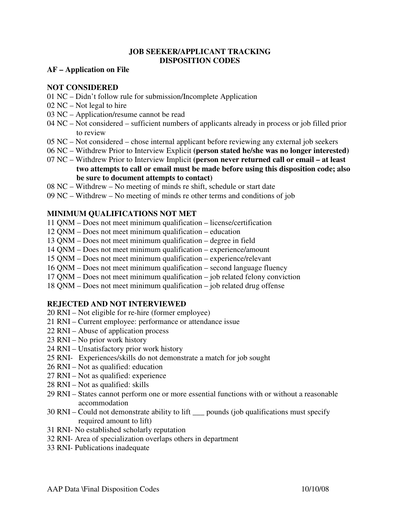### **JOB SEEKER/APPLICANT TRACKING DISPOSITION CODES**

#### **AF – Application on File**

### **NOT CONSIDERED**

- 01 NC Didn't follow rule for submission/Incomplete Application
- 02 NC Not legal to hire
- 03 NC Application/resume cannot be read
- 04 NC Not considered sufficient numbers of applicants already in process or job filled prior to review
- 05 NC Not considered chose internal applicant before reviewing any external job seekers
- 06 NC Withdrew Prior to Interview Explicit **(person stated he/she was no longer interested)**
- 07 NC Withdrew Prior to Interview Implicit **(person never returned call or email at least two attempts to call or email must be made before using this disposition code; also be sure to document attempts to contact)**
- 08 NC Withdrew No meeting of minds re shift, schedule or start date
- 09 NC Withdrew No meeting of minds re other terms and conditions of job

### **MINIMUM QUALIFICATIONS NOT MET**

- 11 QNM Does not meet minimum qualification license/certification
- 12 QNM Does not meet minimum qualification education
- 13 QNM Does not meet minimum qualification degree in field
- 14 QNM Does not meet minimum qualification experience/amount
- 15 QNM Does not meet minimum qualification experience/relevant
- 16 QNM Does not meet minimum qualification second language fluency
- 17 QNM Does not meet minimum qualification job related felony conviction
- 18 QNM Does not meet minimum qualification job related drug offense

# **REJECTED AND NOT INTERVIEWED**

- 20 RNI Not eligible for re-hire (former employee)
- 21 RNI Current employee: performance or attendance issue
- 22 RNI Abuse of application process
- 23 RNI No prior work history
- 24 RNI Unsatisfactory prior work history
- 25 RNI- Experiences/skills do not demonstrate a match for job sought
- 26 RNI Not as qualified: education
- 27 RNI Not as qualified: experience
- 28 RNI Not as qualified: skills
- 29 RNI States cannot perform one or more essential functions with or without a reasonable accommodation
- 30 RNI Could not demonstrate ability to lift \_\_\_ pounds (job qualifications must specify required amount to lift)
- 31 RNI- No established scholarly reputation
- 32 RNI- Area of specialization overlaps others in department
- 33 RNI- Publications inadequate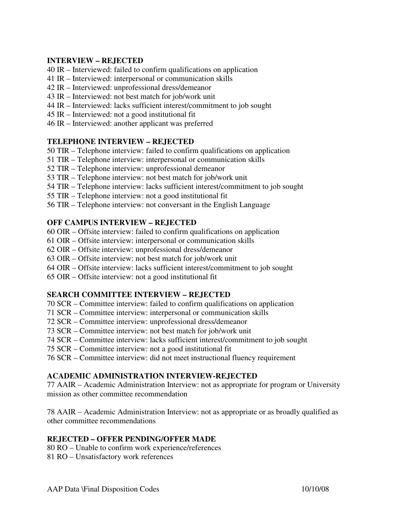### **INTERVIEW – REJECTED**

- 40 IR Interviewed: failed to confirm qualifications on application
- 41 IR Interviewed: interpersonal or communication skills
- 42 IR Interviewed: unprofessional dress/demeanor
- 43 IR Interviewed: not best match for job/work unit
- 44 IR Interviewed: lacks sufficient interest/commitment to job sought
- 45 IR Interviewed: not a good institutional fit
- 46 IR Interviewed: another applicant was preferred

### **TELEPHONE INTERVIEW – REJECTED**

- 50 TIR Telephone interview: failed to confirm qualifications on application
- 51 TIR Telephone interview: interpersonal or communication skills
- 52 TIR Telephone interview: unprofessional demeanor
- 53 TIR Telephone interview: not best match for job/work unit
- 54 TIR Telephone interview: lacks sufficient interest/commitment to job sought
- 55 TIR Telephone interview: not a good institutional fit
- 56 TIR Telephone interview: not conversant in the English Language

# **OFF CAMPUS INTERVIEW – REJECTED**

- 60 OIR Offsite interview: failed to confirm qualifications on application
- 61 OIR Offsite interview: interpersonal or communication skills
- 62 OIR Offsite interview: unprofessional dress/demeanor
- 63 OIR Offsite interview: not best match for job/work unit
- 64 OIR Offsite interview: lacks sufficient interest/commitment to job sought
- 65 OIR Offsite interview: not a good institutional fit

# **SEARCH COMMITTEE INTERVIEW – REJECTED**

- 70 SCR Committee interview: failed to confirm qualifications on application
- 71 SCR Committee interview: interpersonal or communication skills
- 72 SCR Committee interview: unprofessional dress/demeanor
- 73 SCR Committee interview: not best match for job/work unit
- 74 SCR Committee interview: lacks sufficient interest/commitment to job sought
- 75 SCR Committee interview: not a good institutional fit
- 76 SCR Committee interview: did not meet instructional fluency requirement

# **ACADEMIC ADMINISTRATION INTERVIEW-REJECTED**

77 AAIR – Academic Administration Interview: not as appropriate for program or University mission as other committee recommendation

78 AAIR – Academic Administration Interview: not as appropriate or as broadly qualified as other committee recommendations

# **REJECTED – OFFER PENDING/OFFER MADE**

80 RO – Unable to confirm work experience/references

81 RO – Unsatisfactory work references